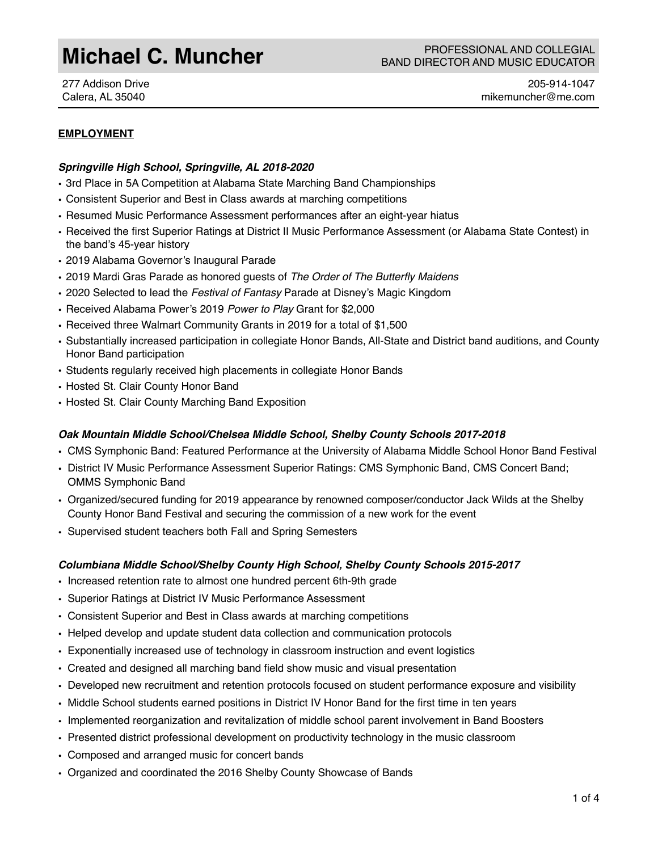277 Addison Drive Calera, AL 35040

205-914-1047 mikemuncher@me.com

# **EMPLOYMENT**

#### *Springville High School, Springville, AL 2018-2020*

- 3rd Place in 5A Competition at Alabama State Marching Band Championships
- Consistent Superior and Best in Class awards at marching competitions
- Resumed Music Performance Assessment performances after an eight-year hiatus
- Received the first Superior Ratings at District II Music Performance Assessment (or Alabama State Contest) in the band's 45-year history
- 2019 Alabama Governor's Inaugural Parade
- 2019 Mardi Gras Parade as honored guests of *The Order of The Butterfly Maidens*
- 2020 Selected to lead the *Festival of Fantasy* Parade at Disney's Magic Kingdom
- Received Alabama Power's 2019 *Power to Play* Grant for \$2,000
- Received three Walmart Community Grants in 2019 for a total of \$1,500
- Substantially increased participation in collegiate Honor Bands, All-State and District band auditions, and County Honor Band participation
- Students regularly received high placements in collegiate Honor Bands
- Hosted St. Clair County Honor Band
- Hosted St. Clair County Marching Band Exposition

# *Oak Mountain Middle School/Chelsea Middle School, Shelby County Schools 2017-2018*

- CMS Symphonic Band: Featured Performance at the University of Alabama Middle School Honor Band Festival
- District IV Music Performance Assessment Superior Ratings: CMS Symphonic Band, CMS Concert Band; OMMS Symphonic Band
- Organized/secured funding for 2019 appearance by renowned composer/conductor Jack Wilds at the Shelby County Honor Band Festival and securing the commission of a new work for the event
- Supervised student teachers both Fall and Spring Semesters

# *Columbiana Middle School/Shelby County High School, Shelby County Schools 2015-2017*

- Increased retention rate to almost one hundred percent 6th-9th grade
- Superior Ratings at District IV Music Performance Assessment
- Consistent Superior and Best in Class awards at marching competitions
- Helped develop and update student data collection and communication protocols
- Exponentially increased use of technology in classroom instruction and event logistics
- Created and designed all marching band field show music and visual presentation
- Developed new recruitment and retention protocols focused on student performance exposure and visibility
- Middle School students earned positions in District IV Honor Band for the first time in ten years
- Implemented reorganization and revitalization of middle school parent involvement in Band Boosters
- Presented district professional development on productivity technology in the music classroom
- Composed and arranged music for concert bands
- Organized and coordinated the 2016 Shelby County Showcase of Bands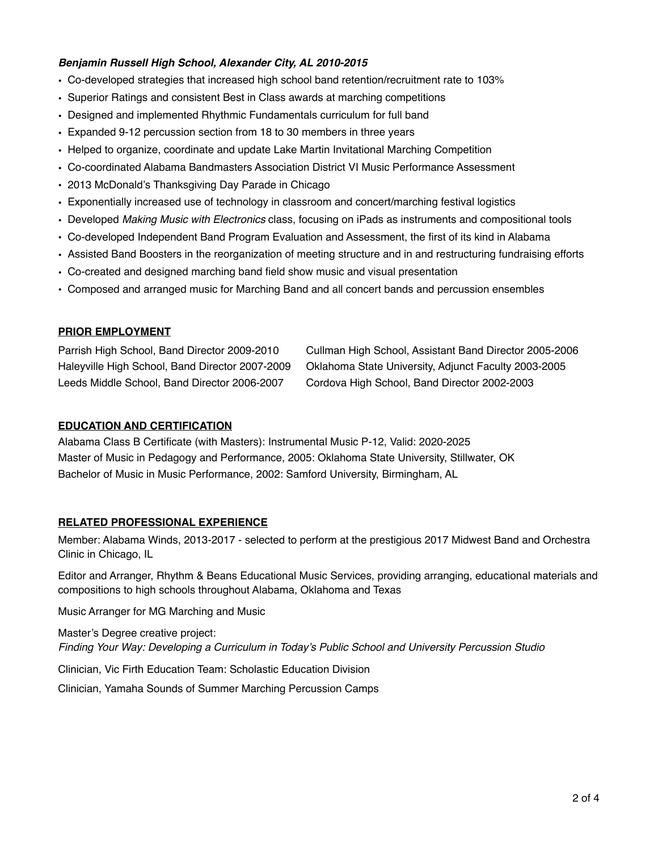# *Benjamin Russell High School, Alexander City, AL 2010-2015*

- Co-developed strategies that increased high school band retention/recruitment rate to 103%
- Superior Ratings and consistent Best in Class awards at marching competitions
- Designed and implemented Rhythmic Fundamentals curriculum for full band
- Expanded 9-12 percussion section from 18 to 30 members in three years
- Helped to organize, coordinate and update Lake Martin Invitational Marching Competition
- Co-coordinated Alabama Bandmasters Association District VI Music Performance Assessment
- 2013 McDonald's Thanksgiving Day Parade in Chicago
- Exponentially increased use of technology in classroom and concert/marching festival logistics
- Developed *Making Music with Electronics* class, focusing on iPads as instruments and compositional tools
- Co-developed Independent Band Program Evaluation and Assessment, the first of its kind in Alabama
- Assisted Band Boosters in the reorganization of meeting structure and in and restructuring fundraising efforts
- Co-created and designed marching band field show music and visual presentation
- Composed and arranged music for Marching Band and all concert bands and percussion ensembles

### **PRIOR EMPLOYMENT**

Parrish High School, Band Director 2009-2010 Haleyville High School, Band Director 2007-2009 Leeds Middle School, Band Director 2006-2007

Cullman High School, Assistant Band Director 2005-2006 Oklahoma State University, Adjunct Faculty 2003-2005 Cordova High School, Band Director 2002-2003

## **EDUCATION AND CERTIFICATION**

Alabama Class B Certificate (with Masters): Instrumental Music P-12, Valid: 2020-2025 Master of Music in Pedagogy and Performance, 2005: Oklahoma State University, Stillwater, OK Bachelor of Music in Music Performance, 2002: Samford University, Birmingham, AL

# **RELATED PROFESSIONAL EXPERIENCE**

Member: Alabama Winds, 2013-2017 - selected to perform at the prestigious 2017 Midwest Band and Orchestra Clinic in Chicago, IL

Editor and Arranger, Rhythm & Beans Educational Music Services, providing arranging, educational materials and compositions to high schools throughout Alabama, Oklahoma and Texas

Music Arranger for MG Marching and Music

Master's Degree creative project: *Finding Your Way: Developing a Curriculum in Today's Public School and University Percussion Studio*

Clinician, Vic Firth Education Team: Scholastic Education Division

Clinician, Yamaha Sounds of Summer Marching Percussion Camps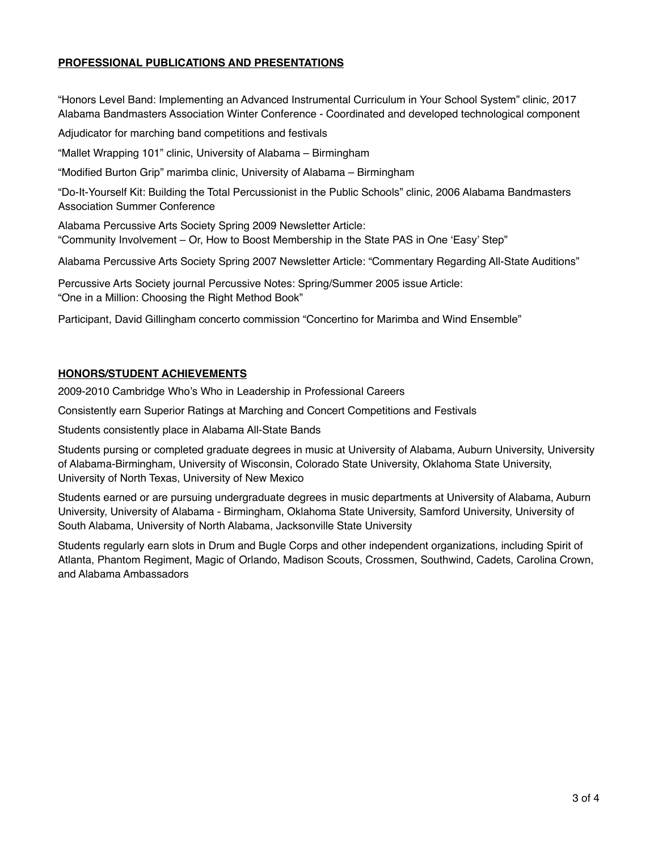# **PROFESSIONAL PUBLICATIONS AND PRESENTATIONS**

"Honors Level Band: Implementing an Advanced Instrumental Curriculum in Your School System" clinic, 2017 Alabama Bandmasters Association Winter Conference - Coordinated and developed technological component

Adjudicator for marching band competitions and festivals

"Mallet Wrapping 101" clinic, University of Alabama – Birmingham

"Modified Burton Grip" marimba clinic, University of Alabama – Birmingham

"Do-It-Yourself Kit: Building the Total Percussionist in the Public Schools" clinic, 2006 Alabama Bandmasters Association Summer Conference

Alabama Percussive Arts Society Spring 2009 Newsletter Article: "Community Involvement – Or, How to Boost Membership in the State PAS in One 'Easy' Step"

Alabama Percussive Arts Society Spring 2007 Newsletter Article: "Commentary Regarding All-State Auditions"

Percussive Arts Society journal Percussive Notes: Spring/Summer 2005 issue Article: "One in a Million: Choosing the Right Method Book"

Participant, David Gillingham concerto commission "Concertino for Marimba and Wind Ensemble"

### **HONORS/STUDENT ACHIEVEMENTS**

2009-2010 Cambridge Who's Who in Leadership in Professional Careers

Consistently earn Superior Ratings at Marching and Concert Competitions and Festivals

Students consistently place in Alabama All-State Bands

Students pursing or completed graduate degrees in music at University of Alabama, Auburn University, University of Alabama-Birmingham, University of Wisconsin, Colorado State University, Oklahoma State University, University of North Texas, University of New Mexico

Students earned or are pursuing undergraduate degrees in music departments at University of Alabama, Auburn University, University of Alabama - Birmingham, Oklahoma State University, Samford University, University of South Alabama, University of North Alabama, Jacksonville State University

Students regularly earn slots in Drum and Bugle Corps and other independent organizations, including Spirit of Atlanta, Phantom Regiment, Magic of Orlando, Madison Scouts, Crossmen, Southwind, Cadets, Carolina Crown, and Alabama Ambassadors